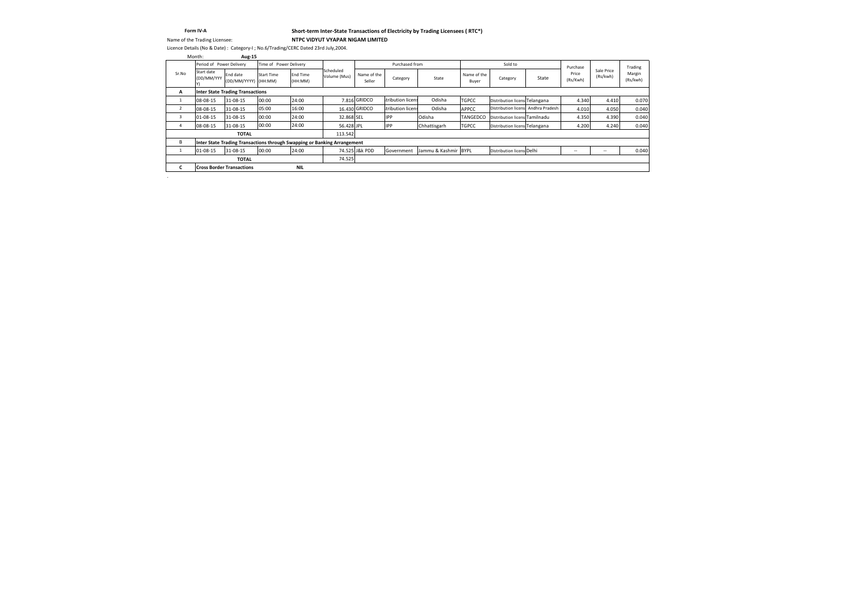### **Short-term Inter-State Transactions of Electricity by Trading Licensees ( RTC\*)**

Name of the Trading Licensee: **NTPC VIDYUT VYAPAR NIGAM LIMITED**

|       | Period of Power Delivery |                                         | Time of Power Delivery |                            |                                                                          |                       | Purchased from    |                      |                      | Sold to                            |       | Purchase          |                        | Trading            |
|-------|--------------------------|-----------------------------------------|------------------------|----------------------------|--------------------------------------------------------------------------|-----------------------|-------------------|----------------------|----------------------|------------------------------------|-------|-------------------|------------------------|--------------------|
| Sr.No | Start date<br>(DD/MM/YYY | End date<br>(DD/MM/YYYY) (HH:MM)        | <b>Start Time</b>      | <b>End Time</b><br>(HH:MM) | Scheduled<br>Volume (Mus)                                                | Name of the<br>Seller | Category          | State                | Name of the<br>Buyer | Category                           | State | Price<br>(Rs/Kwh) | Sale Price<br>(Rs/kwh) | Margin<br>(Rs/kwh) |
| A     |                          | <b>Inter State Trading Transactions</b> |                        |                            |                                                                          |                       |                   |                      |                      |                                    |       |                   |                        |                    |
|       | 08-08-15                 | 31-08-15                                | 00:00                  | 24:00                      |                                                                          | 7.816 GRIDCO          | stribution licens | Odisha               | <b>TGPCC</b>         | Distribution licens Telangana      |       | 4.340             | 4.410                  | 0.070              |
|       | 08-08-15                 | 31-08-15                                | 05:00                  | 16:00                      |                                                                          | 16.430 GRIDCO         | stribution licens | Odisha               | APPCC                | Distribution licens Andhra Pradesh |       | 4.010             | 4.050                  | 0.040              |
|       | 01-08-15                 | 31-08-15                                | 00:00                  | 24:00                      | 32.868 SEL                                                               |                       | <b>IPP</b>        | Odisha               | <b>TANGEDCO</b>      | Distribution licens Tamilnadu      |       | 4.350             | 4.390                  | 0.040              |
|       | 08-08-15                 | 31-08-15                                | 00:00                  | 24:00                      | 56.428 JPL                                                               |                       | <b>IPP</b>        | Chhattisgarh         | <b>TGPCC</b>         | Distribution licens Telangana      |       | 4.200             | 4.240                  | 0.040              |
|       |                          | <b>TOTAL</b>                            |                        |                            | 113.542                                                                  |                       |                   |                      |                      |                                    |       |                   |                        |                    |
| B     |                          |                                         |                        |                            | Inter State Trading Transactions through Swapping or Banking Arrangement |                       |                   |                      |                      |                                    |       |                   |                        |                    |
|       | $01 - 08 - 15$           | 31-08-15                                | 00:00                  | 24:00                      |                                                                          | 74.525 J&k PDD        | Government        | Jammu & Kashmir BYPL |                      | Distribution licens Delhi          |       | $\sim$            | $\sim$ $-$             | 0.040              |
|       |                          | <b>TOTAL</b>                            |                        |                            | 74.525                                                                   |                       |                   |                      |                      |                                    |       |                   |                        |                    |
|       |                          | <b>Cross Border Transactions</b>        |                        | <b>NIL</b>                 |                                                                          |                       |                   |                      |                      |                                    |       |                   |                        |                    |

#### **Form IV-A**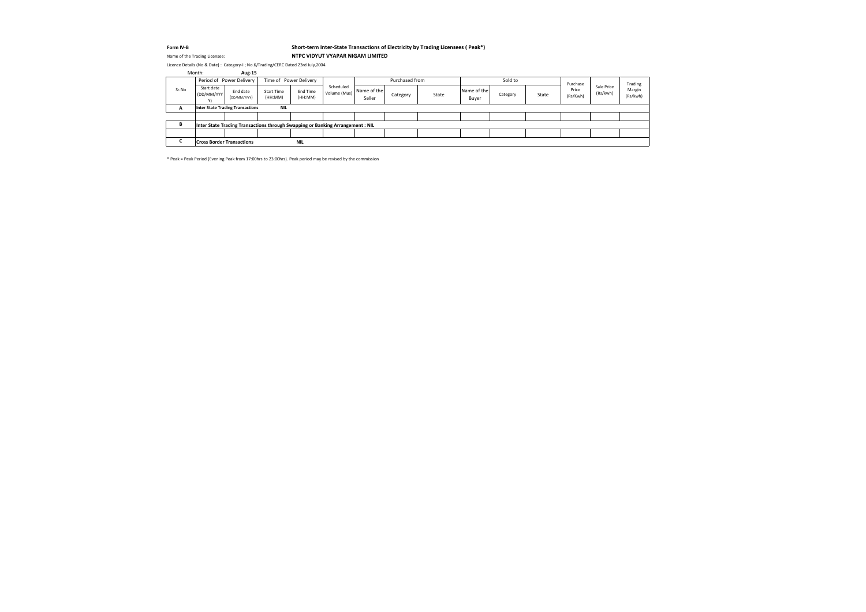#### **Form IV-B Short-term Inter-State Transactions of Electricity by Trading Licensees ( Peak\*)** Name of the Trading Licensee: **NTPC VIDYUT VYAPAR NIGAM LIMITED**

\* Peak = Peak Period (Evening Peak from 17:00hrs to 23:00hrs). Peak period may be revised by the commission

| Month: |                          | Aug-15                                                                         |                              |                        |                           |                       |                |       |                      |          |       |                   |                        |                    |
|--------|--------------------------|--------------------------------------------------------------------------------|------------------------------|------------------------|---------------------------|-----------------------|----------------|-------|----------------------|----------|-------|-------------------|------------------------|--------------------|
|        |                          | Period of Power Delivery                                                       |                              | Time of Power Delivery |                           |                       | Purchased from |       |                      | Sold to  |       | Purchase          |                        | Trading            |
| Sr.No  | Start date<br>(DD/MM/YYY | End date<br>(DD/MM/YYYY)                                                       | <b>Start Time</b><br>(HH:MM) | End Time<br>(HH:MM)    | Scheduled<br>Volume (Mus) | Name of the<br>Seller | Category       | State | Name of the<br>Buyer | Category | State | Price<br>(Rs/Kwh) | Sale Price<br>(Rs/kwh) | Margin<br>(Rs/kwh) |
| A      |                          | <b>Inter State Trading Transactions</b>                                        | <b>NIL</b>                   |                        |                           |                       |                |       |                      |          |       |                   |                        |                    |
|        |                          |                                                                                |                              |                        |                           |                       |                |       |                      |          |       |                   |                        |                    |
| В      |                          | Inter State Trading Transactions through Swapping or Banking Arrangement : NIL |                              |                        |                           |                       |                |       |                      |          |       |                   |                        |                    |
|        |                          |                                                                                |                              |                        |                           |                       |                |       |                      |          |       |                   |                        |                    |
|        |                          | <b>Cross Border Transactions</b>                                               |                              | <b>NIL</b>             |                           |                       |                |       |                      |          |       |                   |                        |                    |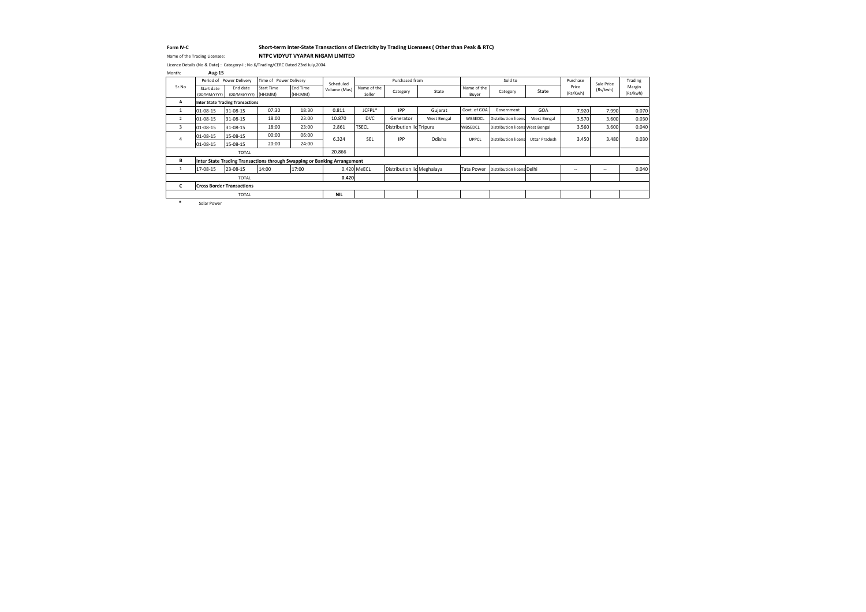#### **Form IV-C Short-term Inter-State Transactions of Electricity by Trading Licensees ( Other than Peak & RTC)** Name of the Trading Licensee: **NTPC VIDYUT VYAPAR NIGAM LIMITED**

| Month:         | <b>Aug-15</b>              |                                         |                        |                                                                          |              |                       |                            |             |                      |                                 |                      |                   |            |                    |
|----------------|----------------------------|-----------------------------------------|------------------------|--------------------------------------------------------------------------|--------------|-----------------------|----------------------------|-------------|----------------------|---------------------------------|----------------------|-------------------|------------|--------------------|
|                |                            | Period of Power Delivery                | Time of Power Delivery |                                                                          | Scheduled    |                       | Purchased from             |             |                      | Sold to                         |                      | Purchase          | Sale Price | Trading            |
| Sr.No          | Start date<br>(DD/MM/YYYY) | End date<br>(DD/MM/YYYY) (HH:MM)        | <b>Start Time</b>      | <b>End Time</b><br>(HH:MM)                                               | Volume (Mus) | Name of the<br>Seller | Category                   | State       | Name of the<br>Buyer | Category                        | State                | Price<br>(Rs/Kwh) | (Rs/kwh)   | Margin<br>(Rs/kwh) |
| Α              |                            | <b>Inter State Trading Transactions</b> |                        |                                                                          |              |                       |                            |             |                      |                                 |                      |                   |            |                    |
|                | 01-08-15                   | 31-08-15                                | 07:30                  | 18:30                                                                    | 0.811        | JCFPL*                | <b>IPP</b>                 | Gujarat     | Govt. of GOA         | Government                      | <b>GOA</b>           | 7.920             | 7.990      | 0.070              |
| $\overline{2}$ | $ 01-08-15 $               | 31-08-15                                | 18:00                  | 23:00                                                                    | 10.870       | <b>DVC</b>            | Generator                  | West Bengal | WBSEDCL              | Distribution licens             | West Bengal          | 3.570             | 3.600      | 0.030              |
| 3              | 01-08-15                   | 31-08-15                                | 18:00                  | 23:00                                                                    | 2.861        | <b>TSECL</b>          | Distribution lic Tripura   |             | WBSEDCL              | Distribution licens West Bengal |                      | 3.560             | 3.600      | 0.040              |
|                | $01 - 08 - 15$             | 15-08-15                                | 00:00                  | 06:00                                                                    | 6.324        | <b>SEL</b>            | <b>IPP</b>                 | Odisha      | <b>UPPCL</b>         | <b>Distribution licens</b>      | <b>Uttar Pradesh</b> | 3.450             | 3.480      | 0.030              |
|                | $01 - 08 - 15$             | 15-08-15                                | 20:00                  | 24:00                                                                    |              |                       |                            |             |                      |                                 |                      |                   |            |                    |
|                |                            | <b>TOTAL</b>                            |                        |                                                                          | 20.866       |                       |                            |             |                      |                                 |                      |                   |            |                    |
| В              |                            |                                         |                        | Inter State Trading Transactions through Swapping or Banking Arrangement |              |                       |                            |             |                      |                                 |                      |                   |            |                    |
|                | 17-08-15                   | 23-08-15                                | 14:00                  | 17:00                                                                    |              | 0.420 MeECL           | Distribution lic Meghalaya |             | <b>Tata Power</b>    | Distribution licens Delhi       |                      | $\sim$            | $\sim$ $-$ | 0.040              |
|                |                            | <b>TOTAL</b>                            |                        |                                                                          | 0.420        |                       |                            |             |                      |                                 |                      |                   |            |                    |
| C.             |                            | <b>Cross Border Transactions</b>        |                        |                                                                          |              |                       |                            |             |                      |                                 |                      |                   |            |                    |
|                |                            | <b>TOTAL</b>                            |                        |                                                                          | <b>NIL</b>   |                       |                            |             |                      |                                 |                      |                   |            |                    |
|                | .                          |                                         |                        |                                                                          |              |                       |                            |             |                      |                                 |                      |                   |            |                    |

**\*** Solar Power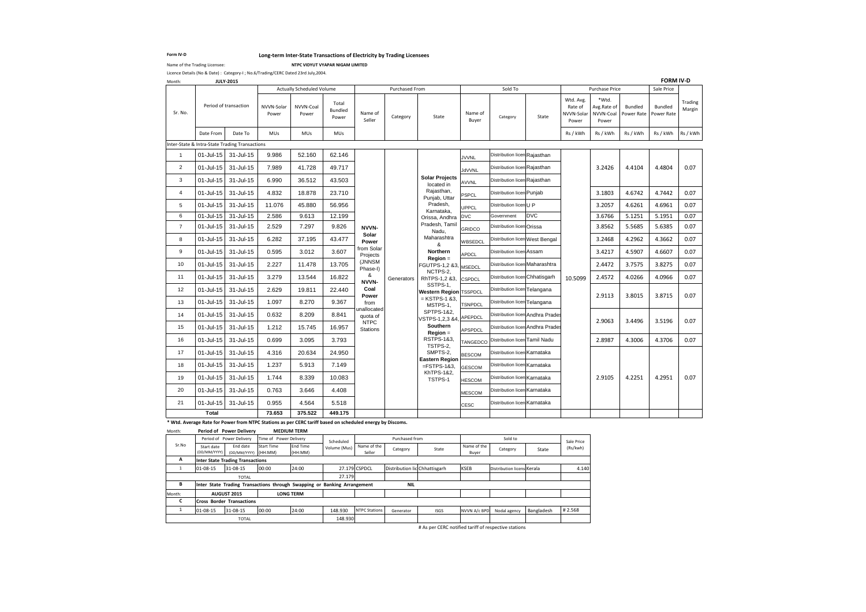#### **Form IV-D Long-term Inter-State Transactions of Electricity by Trading Licensees**

Name of the Trading Licensee: **NTPC VIDYUT VYAPAR NIGAM LIMITED**

| Month: | <b>JULY-2015</b> |                               |
|--------|------------------|-------------------------------|
|        |                  | <b>Actually Scheduled Vol</b> |
|        |                  |                               |

|                 |               |                                                |                     | <b>Actually Scheduled Volume</b> |                                  |                              | Purchased From |                                           |                  | Sold To                          |            |                                             | Purchase Price                             |                              | Sale Price                   |                   |
|-----------------|---------------|------------------------------------------------|---------------------|----------------------------------|----------------------------------|------------------------------|----------------|-------------------------------------------|------------------|----------------------------------|------------|---------------------------------------------|--------------------------------------------|------------------------------|------------------------------|-------------------|
| Sr. No.         |               | Period of transaction                          | NVVN-Solar<br>Power | NVVN-Coal<br>Power               | Total<br><b>Bundled</b><br>Power | Name of<br>Seller            | Category       | State                                     | Name of<br>Buyer | Category                         | State      | Wtd. Avg.<br>Rate of<br>NVVN-Solar<br>Power | *Wtd.<br>Avg.Rate of<br>NVVN-Coal<br>Power | <b>Bundled</b><br>Power Rate | <b>Bundled</b><br>Power Rate | Trading<br>Margin |
|                 | Date From     | Date To                                        | <b>MUs</b>          | MUs                              | <b>MUs</b>                       |                              |                |                                           |                  |                                  |            | Rs / kWh                                    | Rs / kWh                                   | Rs / kWh                     | Rs / kWh                     | Rs / kWh          |
|                 |               | Inter-State & Intra-State Trading Transactions |                     |                                  |                                  |                              |                |                                           |                  |                                  |            |                                             |                                            |                              |                              |                   |
| $\mathbf{1}$    | 01-Jul-15     | 31-Jul-15                                      | 9.986               | 52.160                           | 62.146                           |                              |                |                                           | <b>JVVNL</b>     | Distribution licen Rajasthan     |            |                                             |                                            |                              |                              |                   |
| $\overline{2}$  | $01$ -Jul-15  | 31-Jul-15                                      | 7.989               | 41.728                           | 49.717                           |                              |                |                                           | <b>JdVVNL</b>    | Distribution licen Rajasthan     |            |                                             | 3.2426                                     | 4.4104                       | 4.4804                       | 0.07              |
| 3               | $01 -$ Jul-15 | 31-Jul-15                                      | 6.990               | 36.512                           | 43.503                           |                              |                | <b>Solar Projects</b><br>located in       | <b>AVVNL</b>     | Distribution licen Rajasthan     |            |                                             |                                            |                              |                              |                   |
| 4               | $01$ -Jul-15  | 31-Jul-15                                      | 4.832               | 18.878                           | 23.710                           |                              |                | Rajasthan,<br>Punjab, Uttar               | <b>PSPCL</b>     | Distribution licen Punjab        |            |                                             | 3.1803                                     | 4.6742                       | 4.7442                       | 0.07              |
| 5               | 01-Jul-15     | 31-Jul-15                                      | 11.076              | 45.880                           | 56.956                           |                              |                | Pradesh,<br>Karnataka,                    | <b>UPPCL</b>     | Distribution licenU P            |            |                                             | 3.2057                                     | 4.6261                       | 4.6961                       | 0.07              |
| 6               | $01$ -Jul-15  | 31-Jul-15                                      | 2.586               | 9.613                            | 12.199                           |                              |                | Orissa, Andhra DVC                        |                  | Government                       | <b>DVC</b> |                                             | 3.6766                                     | 5.1251                       | 5.1951                       | 0.07              |
| $\overline{7}$  | 01-Jul-15     | 31-Jul-15                                      | 2.529               | 7.297                            | 9.826                            | <b>NVVN-</b>                 |                | Pradesh, Tamil<br>Nadu,                   | GRIDCO           | Distribution licen Orissa        |            |                                             | 3.8562                                     | 5.5685                       | 5.6385                       | 0.07              |
| 8               | $01 -$ Jul-15 | 31-Jul-15                                      | 6.282               | 37.195                           | 43.477                           | <b>Solar</b><br><b>Power</b> |                | Maharashtra<br>&                          | WBSEDCL          | Distribution licen West Bengal   |            |                                             | 3.2468                                     | 4.2962                       | 4.3662                       | 0.07              |
| 9               | $01$ -Jul-15  | 31-Jul-15                                      | 0.595               | 3.012                            | 3.607                            | from Solar<br>Projects       |                | <b>Northern</b>                           | <b>APDCL</b>     | Distribution licen Assam         |            |                                             | 3.4217                                     | 4.5907                       | 4.6607                       | 0.07              |
| 10 <sup>°</sup> | $01 -$ Jul-15 | 31-Jul-15                                      | 2.227               | 11.478                           | 13.705                           | (JNNSM<br>Phase-I)           |                | $Region =$<br>FGUTPS-1,2 &3, MSEDCL       |                  | Distribution licen Maharashtra   |            |                                             | 2.4472                                     | 3.7575                       | 3.8275                       | 0.07              |
| 11              | 01-Jul-15     | 31-Jul-15                                      | 3.279               | 13.544                           | 16.822                           | &<br>NVVN-                   | Generators     | NCTPS-2,<br>RhTPS-1,2 &3, CSPDCL          |                  | Distribution licen Chhatisgarh   |            | 10.5099                                     | 2.4572                                     | 4.0266                       | 4.0966                       | 0.07              |
| 12              | 01-Jul-15     | 31-Jul-15                                      | 2.629               | 19.811                           | 22.440                           | Coal<br><b>Power</b>         |                | SSTPS-1,<br><b>Western Region TSSPDCL</b> |                  | Distribution licen Telangana     |            |                                             | 2.9113                                     | 3.8015                       | 3.8715                       | 0.07              |
| 13              | $01$ -Jul-15  | 31-Jul-15                                      | 1.097               | 8.270                            | 9.367                            | from                         |                | $=$ KSTPS-1 &3,<br>MSTPS-1,               | <b>TSNPDCL</b>   | Distribution licen Telangana     |            |                                             |                                            |                              |                              |                   |
| 14              | 01-Jul-15     | 31-Jul-15                                      | 0.632               | 8.209                            | 8.841                            | unallocated<br>quota of      |                | SPTPS-1&2,<br>VSTPS-1,2,3 &4, APEPDCL     |                  | Distribution licen Andhra Prades |            |                                             | 2.9063                                     | 3.4496                       | 3.5196                       | 0.07              |
| 15              | $01 -$ Jul-15 | 31-Jul-15                                      | 1.212               | 15.745                           | 16.957                           | <b>NTPC</b><br>Stations      |                | <b>Southern</b><br>$Region =$             | <b>APSPDCL</b>   | Distribution licen Andhra Prades |            |                                             |                                            |                              |                              |                   |
| 16              | 01-Jul-15     | 31-Jul-15                                      | 0.699               | 3.095                            | 3.793                            |                              |                | <b>RSTPS-1&amp;3,</b><br>TSTPS-2,         | TANGEDCO         | Distribution licen Tamil Nadu    |            |                                             | 2.8987                                     | 4.3006                       | 4.3706                       | 0.07              |
| 17              |               | 01-Jul-15 31-Jul-15                            | 4.316               | 20.634                           | 24.950                           |                              |                | SMPTS-2,                                  | <b>BESCOM</b>    | Distribution licen Karnataka     |            |                                             |                                            |                              |                              |                   |
| 18              | $01$ -Jul-15  | 31-Jul-15                                      | 1.237               | 5.913                            | 7.149                            |                              |                | <b>Eastern Region</b><br>$=$ FSTPS-1&3,   | <b>GESCOM</b>    | Distribution licen Karnataka     |            |                                             |                                            |                              |                              |                   |
| 19              | 01-Jul-15     | 31-Jul-15                                      | 1.744               | 8.339                            | 10.083                           |                              |                | KhTPS-1&2,<br>TSTPS-1                     | <b>HESCOM</b>    | Distribution licen Karnataka     |            |                                             | 2.9105                                     | 4.2251                       | 4.2951                       | 0.07              |
| 20              | 01-Jul-15     | 31-Jul-15                                      | 0.763               | 3.646                            | 4.408                            |                              |                |                                           | <b>MESCOM</b>    | Distribution licen Karnataka     |            |                                             |                                            |                              |                              |                   |
| 21              | 01-Jul-15     | 31-Jul-15                                      | 0.955               | 4.564                            | 5.518                            |                              |                |                                           | <b>CESC</b>      | Distribution licen Karnataka     |            |                                             |                                            |                              |                              |                   |
|                 | <b>Total</b>  |                                                | 73.653              | 375.522                          | 449.175                          |                              |                |                                           |                  |                                  |            |                                             |                                            |                              |                              |                   |

**\* Wtd. Average Rate for Power from NTPC Stations as per CERC tariff based on scheduled energy by Discoms.**

# As per CERC notified tariff of respective stations

Month: **Period of Power Delivery MEDIUM TERM**

| <b>IVIUIILII.</b> |                            | <b>FEILUG OF FUWER DEINERY</b>                                           |                        | IVILDIVINI ILINIVI         |              |                       |                               |                                                                                          |                      |                            |            |            |  |
|-------------------|----------------------------|--------------------------------------------------------------------------|------------------------|----------------------------|--------------|-----------------------|-------------------------------|------------------------------------------------------------------------------------------|----------------------|----------------------------|------------|------------|--|
|                   |                            | Period of Power Delivery                                                 | Time of Power Delivery |                            | Scheduled    |                       | Purchased from                |                                                                                          | Sold to              |                            |            | Sale Price |  |
| Sr.No             | Start date<br>(DD/MM/YYYY) | End date<br>(DD/MM/YYYY) (HH:MM)                                         | <b>Start Time</b>      | <b>End Time</b><br>(HH:MM) | Volume (Mus) | Name of the<br>Seller | Category                      | State                                                                                    | Name of the<br>Buyer | Category                   | State      | (Rs/kwh)   |  |
| A                 |                            | Inter State Trading Transactions                                         |                        |                            |              |                       |                               |                                                                                          |                      |                            |            |            |  |
|                   | $01-08-15$                 | 31-08-15                                                                 | 00:00                  | 24:00                      |              | 27.179 CSPDCL         | Distribution lic Chhattisgarh |                                                                                          | <b>KSEB</b>          | Distribution licens Kerala |            | 4.140      |  |
|                   |                            | <b>TOTAL</b>                                                             |                        |                            | 27.179       |                       |                               |                                                                                          |                      |                            |            |            |  |
| B                 |                            | Inter State Trading Transactions through Swapping or Banking Arrangement |                        |                            |              |                       | <b>NIL</b>                    |                                                                                          |                      |                            |            |            |  |
| Month:            |                            | <b>AUGUST 2015</b>                                                       |                        | <b>LONG TERM</b>           |              |                       |                               |                                                                                          |                      |                            |            |            |  |
| C                 |                            | <b>ICross Border Transactions</b>                                        |                        |                            |              |                       |                               |                                                                                          |                      |                            |            |            |  |
|                   | $01-08-15$                 | 31-08-15                                                                 | 00:00                  | 24:00                      | 148.930      | <b>NTPC Stations</b>  | Generator                     | <b>ISGS</b>                                                                              | NVVN A/c BPD         | Nodal agency               | Bangladesh | #2.568     |  |
|                   |                            | <b>TOTAL</b>                                                             |                        |                            | 148.930      |                       |                               |                                                                                          |                      |                            |            |            |  |
|                   |                            |                                                                          |                        |                            |              |                       |                               | $H = 0.1$ and $H = 0.00$ and $H = 0.000$ and $H = 0.000$ and $H = 0.000$ and $H = 0.000$ |                      |                            |            |            |  |

Licence Details (No & Date) : Category-I ; No.6/Trading/CERC Dated 23rd July,2004.

**FORM IV-D**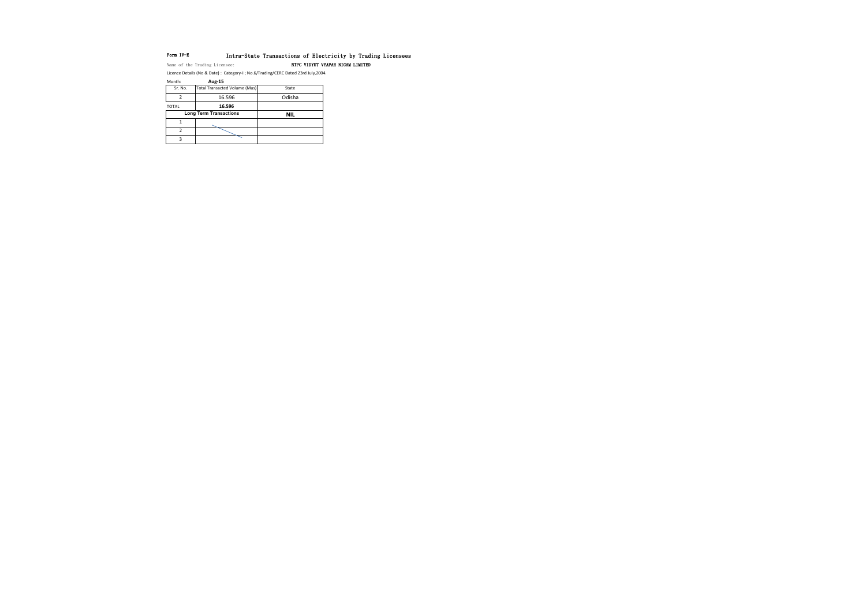### Form IV-E Intra-State Transactions of Electricity by Trading Licensees

Name of the Trading Licensee: NTPC VIDYUT VYAPAR NIGAM LIMITED

| .            | $-$                                  |            |
|--------------|--------------------------------------|------------|
| Sr. No.      | <b>Total Transacted Volume (Mus)</b> | State      |
|              | 16.596                               | Odisha     |
| <b>TOTAL</b> | 16.596                               |            |
|              | <b>Long Term Transactions</b>        | <b>NIL</b> |
|              |                                      |            |
|              |                                      |            |
|              |                                      |            |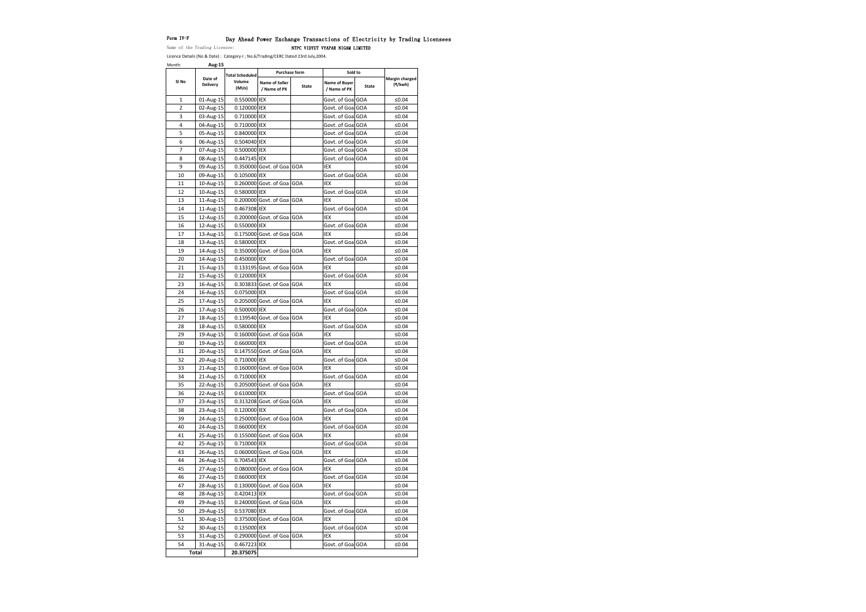#### Form IV-F Day Ahead Power Exchange Transactions of Electricity by Trading Licensees

Name of the Trading Licensee: NTPC VIDYUT VYAPAR NIGAM LIMITED

| Month:         | Aug-15                     |                        |                                       |                      |                               |       |                           |
|----------------|----------------------------|------------------------|---------------------------------------|----------------------|-------------------------------|-------|---------------------------|
|                |                            | <b>Total Scheduled</b> |                                       | <b>Purchase form</b> | Sold to                       |       |                           |
| SI No          | Date of<br><b>Delivery</b> | Volume<br>(MUs)        | <b>Name of Seller</b><br>/ Name of PX | <b>State</b>         | Name of Buyer<br>/ Name of PX | State | Margin charged<br>(₹/kwh) |
| $\mathbf{1}$   | 01-Aug-15                  | 0.550000 IEX           |                                       |                      | Govt. of Goal GOA             |       | ≤ $0.04$                  |
| $\overline{2}$ | 02-Aug-15                  | 0.120000 IEX           |                                       |                      | Govt. of Goa GOA              |       | ≤ $0.04$                  |
| 3              | 03-Aug-15                  | 0.710000 IEX           |                                       |                      | Govt. of Goal GOA             |       | ≤0.04                     |
| 4              | 04-Aug-15                  | 0.710000 IEX           |                                       |                      | Govt. of Goa GOA              |       | ≤ $0.04$                  |
| 5              | 05-Aug-15                  | 0.840000 IEX           |                                       |                      | Govt. of Goa GOA              |       | ≤ $0.04$                  |
| 6              | 06-Aug-15                  | 0.504040 IEX           |                                       |                      | Govt. of Goa GOA              |       | ≤0.04                     |
| 7              | 07-Aug-15                  | 0.500000 IEX           |                                       |                      | Govt. of Goa GOA              |       | ≤ $0.04$                  |
| 8              | 08-Aug-15                  | 0.447145 IEX           |                                       |                      | Govt. of Goa GOA              |       | ≤ $0.04$                  |
| 9              | 09-Aug-15                  |                        | 0.350000 Govt. of Goa GOA             |                      | <b>IEX</b>                    |       | ≤ $0.04$                  |
| 10             | 09-Aug-15                  | 0.105000 IEX           |                                       |                      | Govt. of Goa GOA              |       | ≤ $0.04$                  |
| 11             | 10-Aug-15                  |                        | 0.260000 Govt. of Goa GOA             |                      | <b>IEX</b>                    |       | ≤ $0.04$                  |
| 12             | 10-Aug-15                  | 0.580000 IEX           |                                       |                      | Govt. of Goal GOA             |       | ≤ $0.04$                  |
| 13             | 11-Aug-15                  |                        | 0.200000 Govt. of Goa GOA             |                      | <b>IEX</b>                    |       | ≤ $0.04$                  |
| 14             | 11-Aug-15                  | 0.467308 IEX           |                                       |                      | Govt. of Goa GOA              |       | ≤0.04                     |
| 15             | 12-Aug-15                  |                        | 0.200000 Govt. of Goa GOA             |                      | <b>IEX</b>                    |       | ≤ $0.04$                  |
| 16             | 12-Aug-15                  | 0.550000 IEX           |                                       |                      | Govt. of Goa GOA              |       | ≤ $0.04$                  |
| 17             | 13-Aug-15                  |                        | 0.175000 Govt. of Goa GOA             |                      | <b>IEX</b>                    |       | ≤ $0.04$                  |
| 18             | 13-Aug-15                  | 0.580000 IEX           |                                       |                      | Govt. of Goa GOA              |       | ≤ $0.04$                  |
| 19             | 14-Aug-15                  |                        | 0.350000 Govt. of Goa GOA             |                      | <b>IEX</b>                    |       | ≤ $0.04$                  |
| 20             | 14-Aug-15                  | 0.450000 IEX           |                                       |                      | Govt. of Goa GOA              |       | ≤ $0.04$                  |
| 21             | 15-Aug-15                  |                        | 0.133195 Govt. of Goa GOA             |                      | IEX                           |       | ≤ $0.04$                  |
| 22             | 15-Aug-15                  | 0.120000 IEX           |                                       |                      | Govt. of Goa GOA              |       | ≤ $0.04$                  |
| 23             | 16-Aug-15                  |                        | 0.303833 Govt. of Goa GOA             |                      | <b>IEX</b>                    |       | ≤0.04                     |
| 24             | 16-Aug-15                  | 0.075000 IEX           |                                       |                      | Govt. of Goa GOA              |       | ≤ $0.04$                  |
| 25             | 17-Aug-15                  |                        | 0.205000 Govt. of Goa GOA             |                      | IEX                           |       | ≤0.04                     |
| 26             | 17-Aug-15                  | 0.500000 IEX           |                                       |                      | Govt. of Goa GOA              |       | ≤ $0.04$                  |
| 27             | 18-Aug-15                  |                        | 0.139540 Govt. of Goa GOA             |                      | <b>IEX</b>                    |       | ≤ $0.04$                  |
| 28             | 18-Aug-15                  | 0.580000 IEX           |                                       |                      | Govt. of Goa GOA              |       | ≤ $0.04$                  |
| 29             | 19-Aug-15                  |                        | 0.160000 Govt. of Goa GOA             |                      | <b>IEX</b>                    |       | ≤ $0.04$                  |
| 30             | 19-Aug-15                  | 0.660000 IEX           |                                       |                      | Govt. of Goa GOA              |       | $≤0.04$                   |
| 31             | 20-Aug-15                  |                        | 0.147550 Govt. of Goa GOA             |                      | IEX                           |       | ≤ $0.04$                  |
| 32             | 20-Aug-15                  | 0.710000 IEX           |                                       |                      | Govt. of Goa GOA              |       | ≤ $0.04$                  |
| 33             | 21-Aug-15                  |                        | 0.160000 Govt. of Goa GOA             |                      | <b>IEX</b>                    |       | $≤0.04$                   |
| 34             | 21-Aug-15                  | 0.710000 IEX           |                                       |                      | Govt. of Goa GOA              |       | ≤ $0.04$                  |
| 35             | 22-Aug-15                  |                        | 0.205000 Govt. of Goa GOA             |                      | IEX                           |       | $≤0.04$                   |
| 36             | 22-Aug-15                  | 0.610000 IEX           |                                       |                      | Govt. of Goa GOA              |       | $≤0.04$                   |
| 37             | 23-Aug-15                  |                        | 0.313208 Govt. of Goa GOA             |                      | <b>IEX</b>                    |       | ≤ $0.04$                  |
| 38             | 23-Aug-15                  | 0.120000 IEX           |                                       |                      | Govt. of Goa GOA              |       | ≤ $0.04$                  |
| 39             | 24-Aug-15                  |                        | 0.250000 Govt. of Goa GOA             |                      | IEX                           |       | ≤0.04                     |
| 40             | 24-Aug-15                  | 0.660000 IEX           |                                       |                      | Govt. of Goa GOA              |       | $≤0.04$                   |
| 41             | 25-Aug-15                  |                        | 0.155000 Govt. of Goa GOA             |                      | IEX                           |       | ≤ $0.04$                  |
| 42             | 25-Aug-15                  | 0.710000 IEX           |                                       |                      | Govt. of Goa GOA              |       | ≤ $0.04$                  |
| 43             | 26-Aug-15                  |                        | 0.060000 Govt. of Goa GOA             |                      | <b>IEX</b>                    |       | ≤ $0.04$                  |
| 44             | 26-Aug-15                  | 0.704543 IEX           |                                       |                      | Govt. of Goa GOA              |       | ≤ $0.04$                  |
| 45             | 27-Aug-15                  |                        | 0.080000 Govt. of Goa GOA             |                      | <b>IEX</b>                    |       | $≤0.04$                   |
| 46             | 27-Aug-15                  | 0.660000 IEX           |                                       |                      | Govt. of Goa GOA              |       | ≤ $0.04$                  |
| 47             | 28-Aug-15                  |                        | 0.130000 Govt. of Goa GOA             |                      | <b>IEX</b>                    |       | ≤ $0.04$                  |
| 48             | 28-Aug-15                  | 0.420413 IEX           |                                       |                      | Govt. of Goa GOA              |       | $≤0.04$                   |
| 49             | 29-Aug-15                  |                        | 0.240000 Govt. of Goa GOA             |                      | <b>IEX</b>                    |       | ≤0.04                     |
| 50             | 29-Aug-15                  | 0.537080 IEX           |                                       |                      | Govt. of Goa GOA              |       | ≤ $0.04$                  |
| 51             | 30-Aug-15                  |                        | 0.375000 Govt. of Goa GOA             |                      | <b>IEX</b>                    |       | $≤0.04$                   |
| 52             | 30-Aug-15                  | 0.135000 IEX           |                                       |                      | Govt. of Goa GOA              |       | ≤ $0.04$                  |
| 53             | 31-Aug-15                  |                        | 0.290000 Govt. of Goa GOA             |                      | IEX                           |       | $≤0.04$                   |
| 54             | 31-Aug-15                  | 0.467223 IEX           |                                       |                      | Govt. of Goa GOA              |       | ≤ $0.04$                  |
|                | <b>Total</b>               | 20.375075              |                                       |                      |                               |       |                           |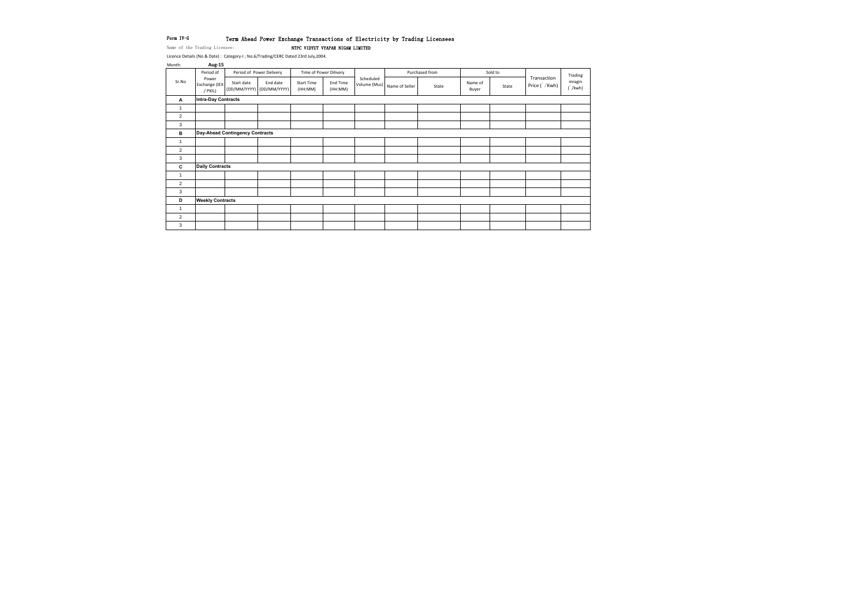### Form IV-G Term Ahead Power Exchange Transactions of Electricity by Trading Licensees

Name of the Trading Licensee: NTPC VIDYUT VYAPAR NIGAM LIMITED

| Month:                  | <b>Aug-15</b>                     |                                 |                                       |                              |                        |           |                             |                |                  |         |                               |                        |
|-------------------------|-----------------------------------|---------------------------------|---------------------------------------|------------------------------|------------------------|-----------|-----------------------------|----------------|------------------|---------|-------------------------------|------------------------|
|                         | Period of                         |                                 | Period of Power Delivery              |                              | Time of Power Dilivery |           |                             | Purchased from |                  | Sold to |                               | Trading                |
| Sr.No                   | Power<br>Exchange (IEX<br>/ PXIL) | Start date                      | End date<br>(DD/MM/YYYY) (DD/MM/YYYY) | <b>Start Time</b><br>(HH:MM) | End Time<br>(HH:MM)    | Scheduled | Volume (Mus) Name of Seller | State          | Name of<br>Buyer | State   | Transaction<br>Price ( / Kwh) | mragin<br>$\int$ /kwh) |
| $\mathbf{A}$            | Intra-Day Contracts               |                                 |                                       |                              |                        |           |                             |                |                  |         |                               |                        |
| $\overline{1}$          |                                   |                                 |                                       |                              |                        |           |                             |                |                  |         |                               |                        |
| $\overline{2}$          |                                   |                                 |                                       |                              |                        |           |                             |                |                  |         |                               |                        |
| 3                       |                                   |                                 |                                       |                              |                        |           |                             |                |                  |         |                               |                        |
| В                       |                                   | Day-Ahead Contingency Contracts |                                       |                              |                        |           |                             |                |                  |         |                               |                        |
| $\overline{1}$          |                                   |                                 |                                       |                              |                        |           |                             |                |                  |         |                               |                        |
| 2                       |                                   |                                 |                                       |                              |                        |           |                             |                |                  |         |                               |                        |
| 3                       |                                   |                                 |                                       |                              |                        |           |                             |                |                  |         |                               |                        |
| C                       | <b>Daily Contracts</b>            |                                 |                                       |                              |                        |           |                             |                |                  |         |                               |                        |
| $\overline{1}$          |                                   |                                 |                                       |                              |                        |           |                             |                |                  |         |                               |                        |
| 2                       |                                   |                                 |                                       |                              |                        |           |                             |                |                  |         |                               |                        |
| 3                       |                                   |                                 |                                       |                              |                        |           |                             |                |                  |         |                               |                        |
| D                       | <b>Weekly Contracts</b>           |                                 |                                       |                              |                        |           |                             |                |                  |         |                               |                        |
| $\overline{\mathbf{1}}$ |                                   |                                 |                                       |                              |                        |           |                             |                |                  |         |                               |                        |
| 2                       |                                   |                                 |                                       |                              |                        |           |                             |                |                  |         |                               |                        |
| 3                       |                                   |                                 |                                       |                              |                        |           |                             |                |                  |         |                               |                        |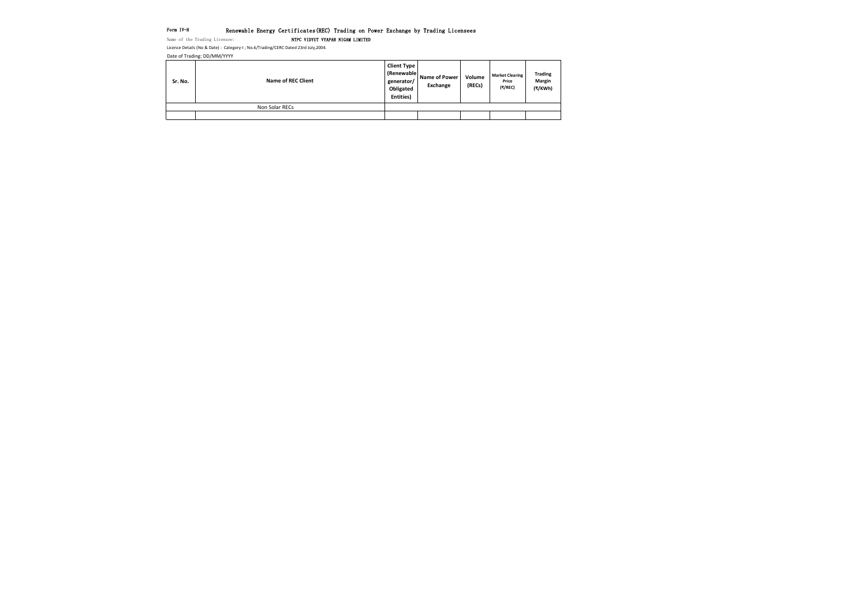# Form IV-H Renewable Energy Certificates(REC) Trading on Power Exchange by Trading Licensees<br>Name of the Trading Licensee: NTPC VIDYUT VYAPAR NIGAM LIMITED

NTPC VIDYUT VYAPAR NIGAM LIMITED

Date of Trading: DD/MM/YYYY

| Sr. No. | <b>Name of REC Client</b> | <b>Client Type</b><br>(Renewable<br>generator/<br>Obligated<br>Entities) | Name of Power<br>Exchange | Volume<br>(RECs) | <b>Market Clearing</b><br>Price<br>(₹/REC) |
|---------|---------------------------|--------------------------------------------------------------------------|---------------------------|------------------|--------------------------------------------|
|         | Non Solar RECs            |                                                                          |                           |                  |                                            |
|         |                           |                                                                          |                           |                  |                                            |

**Trading Margin (₹/KWh)**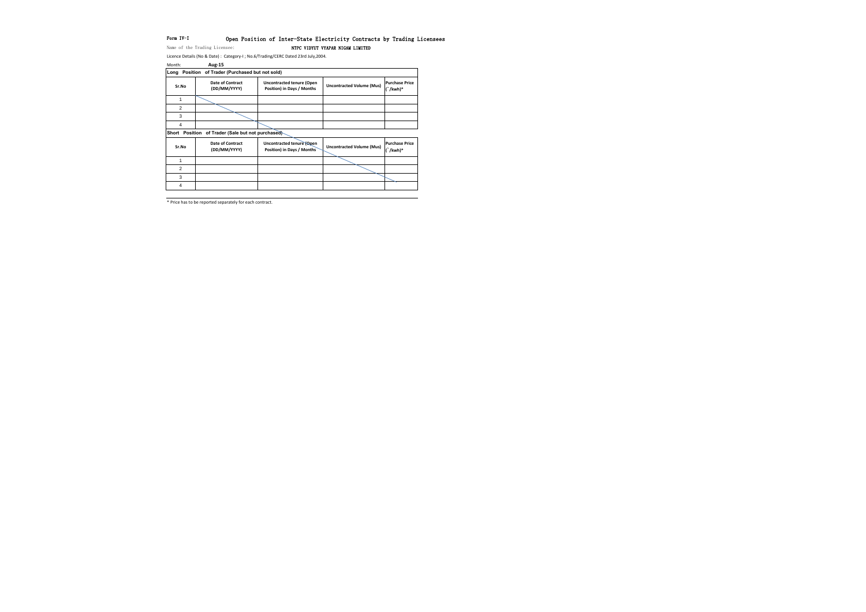# Form IV-I 0pen Position of Inter-State Electricity Contracts by Trading Licensees

Name of the Trading Licensee: NTPC VIDYUT VYAPAR NIGAM LIMITED

Licence Details (No & Date) : Category-I ; No.6/Trading/CERC Dated 23rd July,2004.

\* Price has to be reported separately for each contract.

| Month: | <b>Aug-15</b>                                     |                                                                |                                  |                                        |
|--------|---------------------------------------------------|----------------------------------------------------------------|----------------------------------|----------------------------------------|
|        | Long Position of Trader (Purchased but not sold)  |                                                                |                                  |                                        |
| Sr.No  | <b>Date of Contract</b><br>(DD/MM/YYYY)           | <b>Uncontracted tenure (Open</b><br>Position) in Days / Months | <b>Uncontracted Volume (Mus)</b> | <b>Purchase Price</b><br>$\int$ /kwh)* |
| 1      |                                                   |                                                                |                                  |                                        |
| 2      |                                                   |                                                                |                                  |                                        |
| 3      |                                                   |                                                                |                                  |                                        |
| 4      |                                                   |                                                                |                                  |                                        |
|        | Short Position of Trader (Sale but not purchased) |                                                                |                                  |                                        |
| Sr.No  | <b>Date of Contract</b><br>(DD/MM/YYYY)           | Uncontracted tenure (Open<br>Position) in Days / Months        | <b>Uncontracted Volume (Mus)</b> | <b>Purchase Price</b><br>$\int$ /kwh)* |
| 1      |                                                   |                                                                |                                  |                                        |
| 2      |                                                   |                                                                |                                  |                                        |
| 3      |                                                   |                                                                |                                  |                                        |
| 4      |                                                   |                                                                |                                  |                                        |